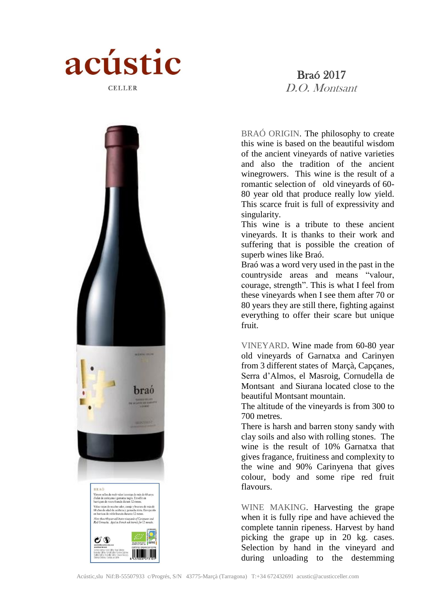

# Braó 2017 D.O. Montsant





BRAÓ ORIGIN. The philosophy to create this wine is based on the beautiful wisdom of the ancient vineyards of native varieties and also the tradition of the ancient winegrowers. This wine is the result of a romantic selection of old vineyards of 60- 80 year old that produce really low yield. This scarce fruit is full of expressivity and singularity.

This wine is a tribute to these ancient vineyards. It is thanks to their work and suffering that is possible the creation of superb wines like Braó.

Braó was a word very used in the past in the countryside areas and means "valour, courage, strength". This is what I feel from these vineyards when I see them after 70 or 80 years they are still there, fighting against everything to offer their scare but unique fruit.

VINEYARD. Wine made from 60-80 year old vineyards of Garnatxa and Carinyen from 3 different states of Marçà, Capçanes, Serra d'Almos, el Masroig, Cornudella de Montsant and Siurana located close to the beautiful Montsant mountain.

The altitude of the vineyards is from 300 to 700 metres.

There is harsh and barren stony sandy with clay soils and also with rolling stones. The wine is the result of 10% Garnatxa that gives fragance, fruitiness and complexity to the wine and 90% Carinyena that gives colour, body and some ripe red fruit flavours.

WINE MAKING. Harvesting the grape when it is fully ripe and have achieved the complete tannin ripeness. Harvest by hand picking the grape up in 20 kg. cases. Selection by hand in the vineyard and during unloading to the destemming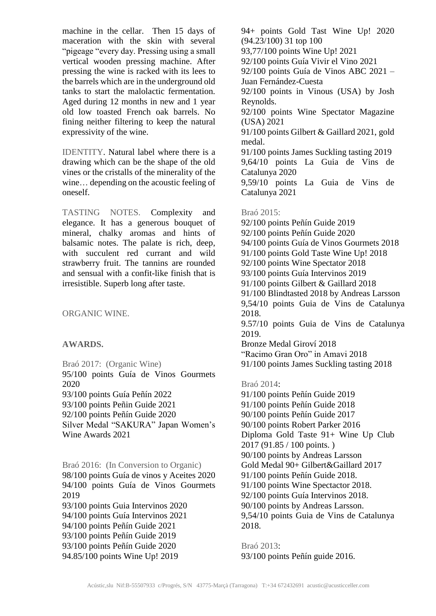machine in the cellar. Then 15 days of maceration with the skin with several "pigeage "every day. Pressing using a small vertical wooden pressing machine. After pressing the wine is racked with its lees to the barrels which are in the underground old tanks to start the malolactic fermentation. Aged during 12 months in new and 1 year old low toasted French oak barrels. No fining neither filtering to keep the natural expressivity of the wine.

IDENTITY. Natural label where there is a drawing which can be the shape of the old vines or the cristalls of the minerality of the wine… depending on the acoustic feeling of oneself.

TASTING NOTES. Complexity and elegance. It has a generous bouquet of mineral, chalky aromas and hints of balsamic notes. The palate is rich, deep, with succulent red currant and wild strawberry fruit. The tannins are rounded and sensual with a confit-like finish that is irresistible. Superb long after taste.

ORGANIC WINE.

# **AWARDS.**

Braó 2017: (Organic Wine) 95/100 points Guía de Vinos Gourmets 2020 93/100 points Guía Peñín 2022 93/100 points Peñin Guide 2021 92/100 points Peñín Guide 2020 Silver Medal "SAKURA" Japan Women's Wine Awards 2021

Braó 2016: (In Conversion to Organic) 98/100 points Guía de vinos y Aceites 2020 94/100 points Guía de Vinos Gourmets 2019 93/100 points Guia Intervinos 2020 94/100 points Guía Intervinos 2021 94/100 points Peñín Guide 2021 93/100 points Peñín Guide 2019 93/100 points Peñín Guide 2020 94.85/100 points Wine Up! 2019

94+ points Gold Tast Wine Up! 2020 (94.23/100) 31 top 100 93,77/100 points Wine Up! 2021 92/100 points Guía Vivir el Vino 2021 92/100 points Guía de Vinos ABC 2021 – Juan Fernández-Cuesta 92/100 points in Vinous (USA) by Josh Reynolds. 92/100 points Wine Spectator Magazine (USA) 2021 91/100 points Gilbert & Gaillard 2021, gold medal. 91/100 points James Suckling tasting 2019 9,64/10 points La Guia de Vins de Catalunya 2020 9,59/10 points La Guia de Vins de Catalunya 2021 Braó 2015: 92/100 points Peñín Guide 2019 92/100 points Peñín Guide 2020 94/100 points Guía de Vinos Gourmets 2018 91/100 points Gold Taste Wine Up! 2018 92/100 points Wine Spectator 2018

93/100 points Guía Intervinos 2019 91/100 points Gilbert & Gaillard 2018 91/100 Blindtasted 2018 by Andreas Larsson 9,54/10 points Guia de Vins de Catalunya 2018. 9.57/10 points Guia de Vins de Catalunya 2019. Bronze Medal Giroví 2018

"Racimo Gran Oro" in Amavi 2018 91/100 points James Suckling tasting 2018

### Braó 2014:

91/100 points Peñín Guide 2019 91/100 points Peñín Guide 2018 90/100 points Peñín Guide 2017 90/100 points Robert Parker 2016 Diploma Gold Taste 91+ Wine Up Club 2017 (91.85 / 100 points. ) 90/100 points by Andreas Larsson Gold Medal 90+ Gilbert&Gaillard 2017 91/100 points Peñín Guide 2018. 91/100 points Wine Spectactor 2018. 92/100 points Guía Intervinos 2018. 90/100 points by Andreas Larsson. 9,54/10 points Guia de Vins de Catalunya 2018.

Braó 2013: 93/100 points Peñín guide 2016.